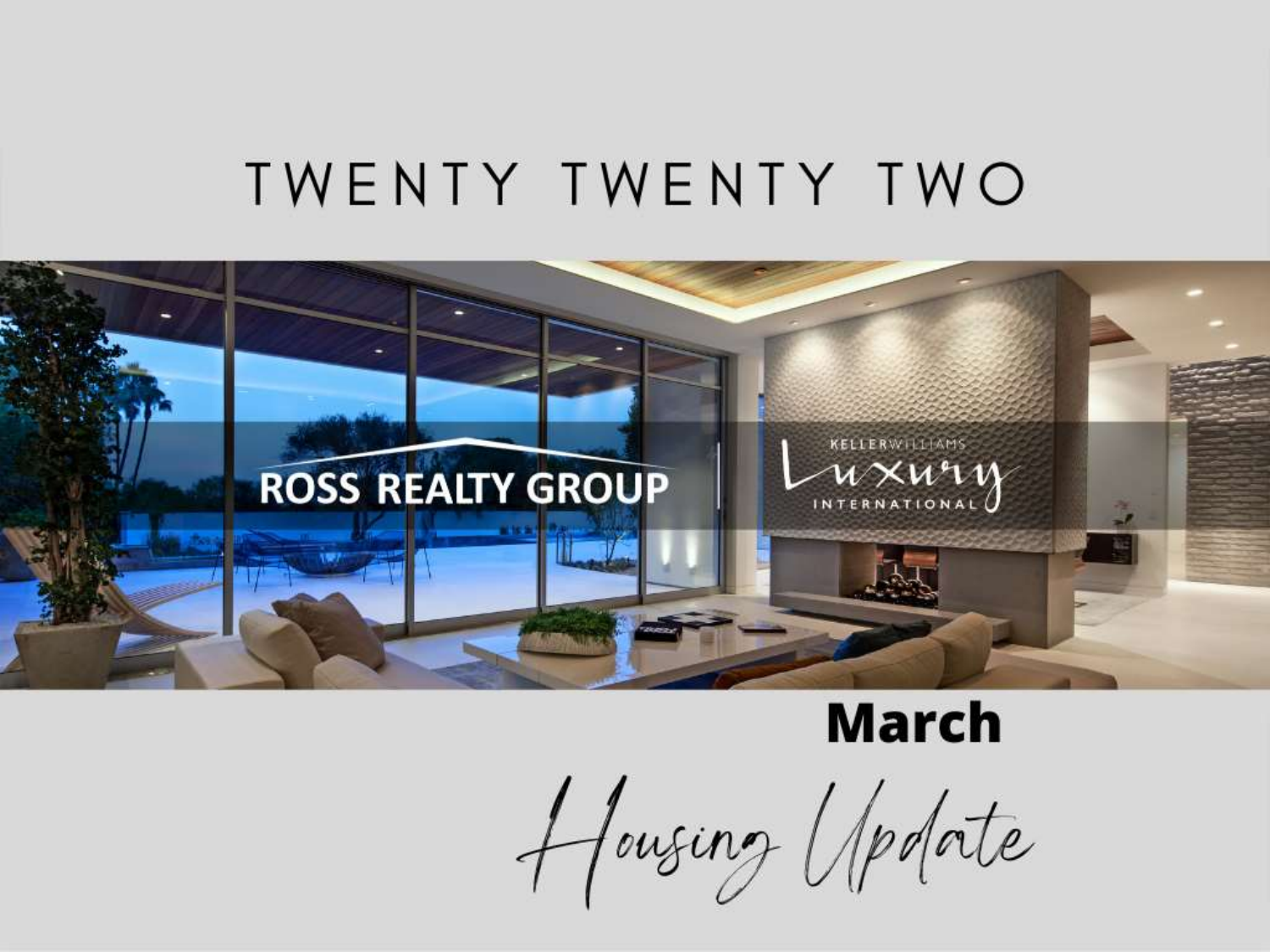### TWENTY TWENTY TWO



### **March**

Housing Upotate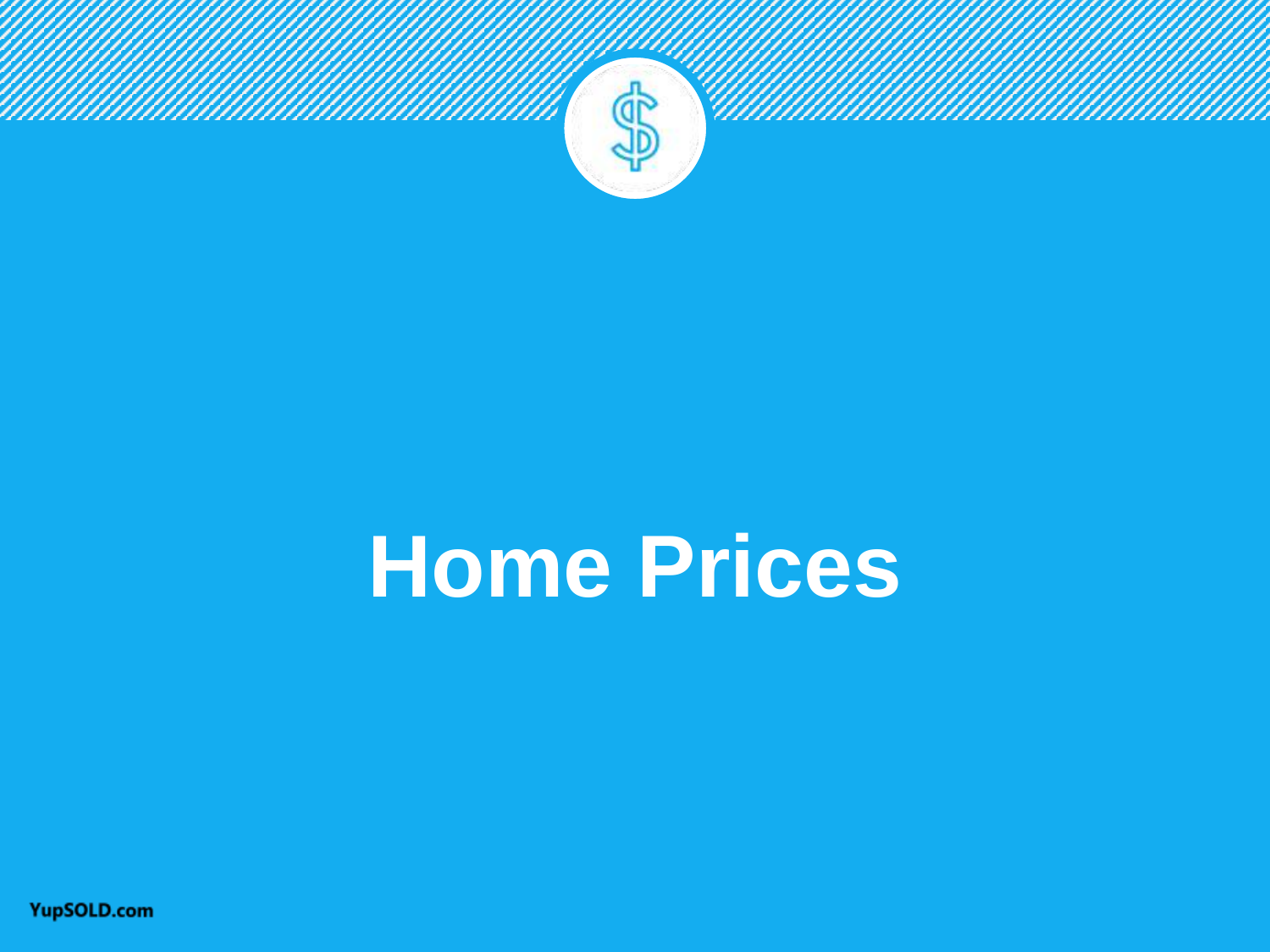

# **Home Prices**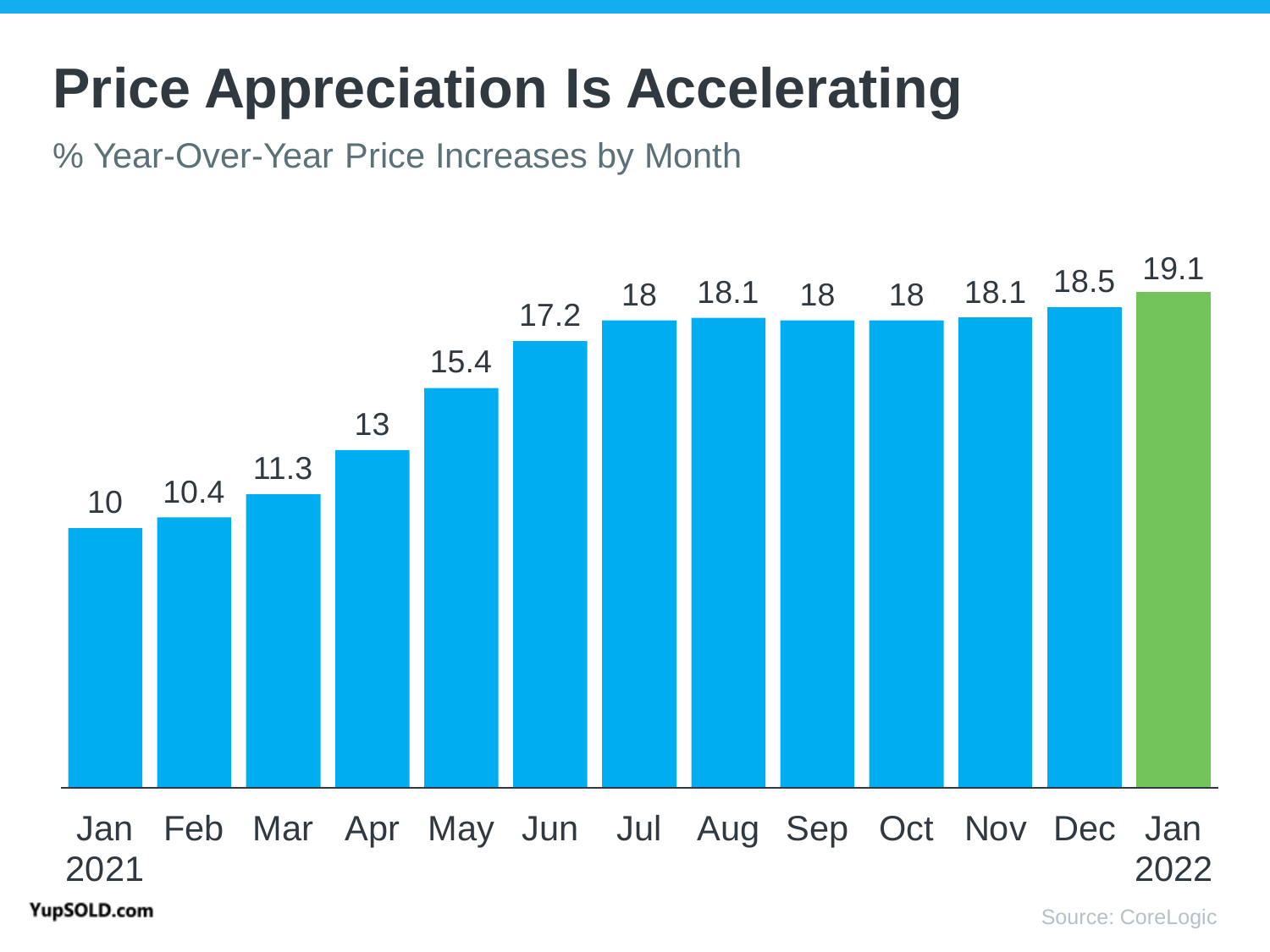## **Price Appreciation Is Accelerating**

% Year-Over-Year Price Increases by Month

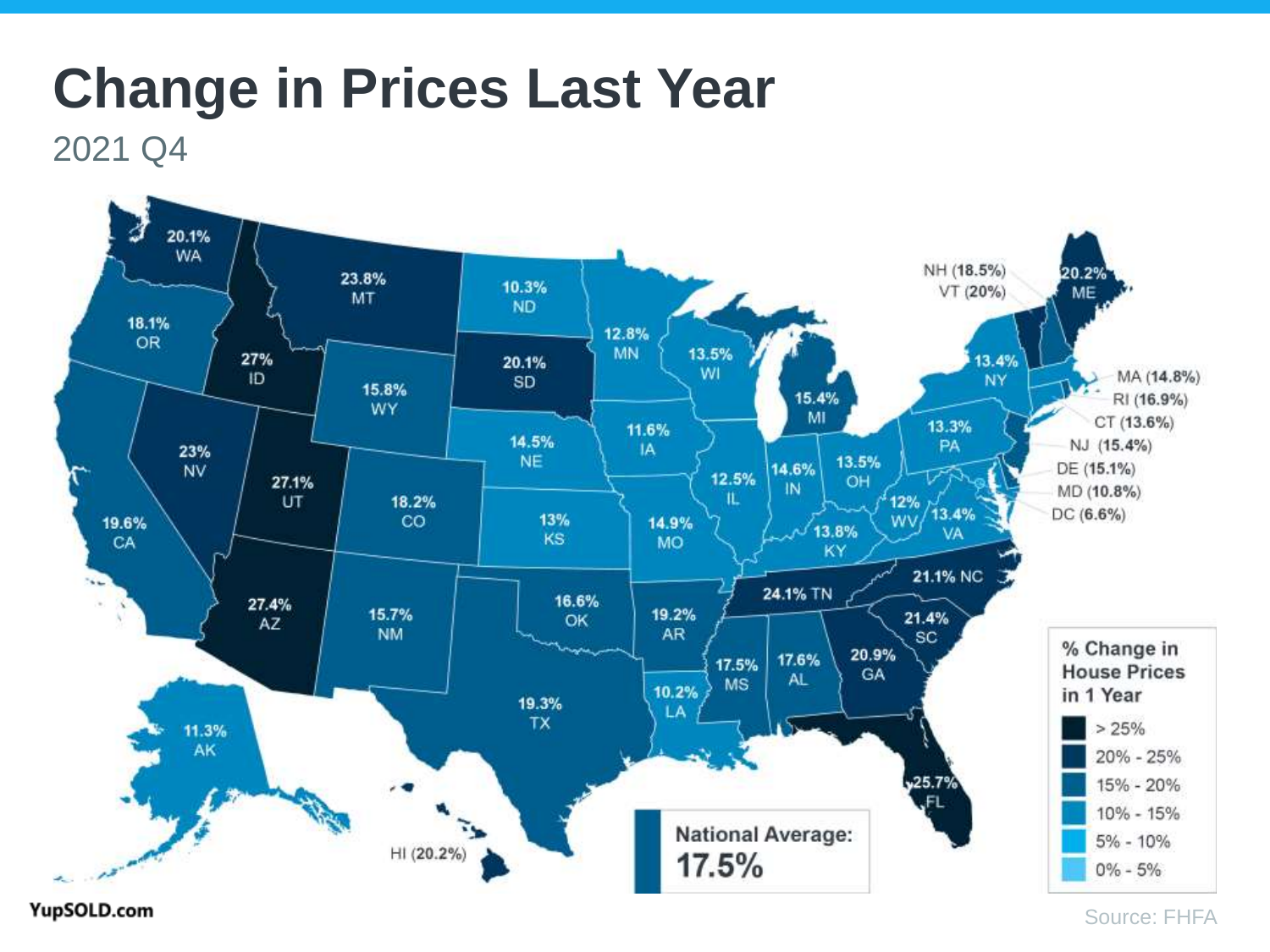### **Change in Prices Last Year**

2021 Q4

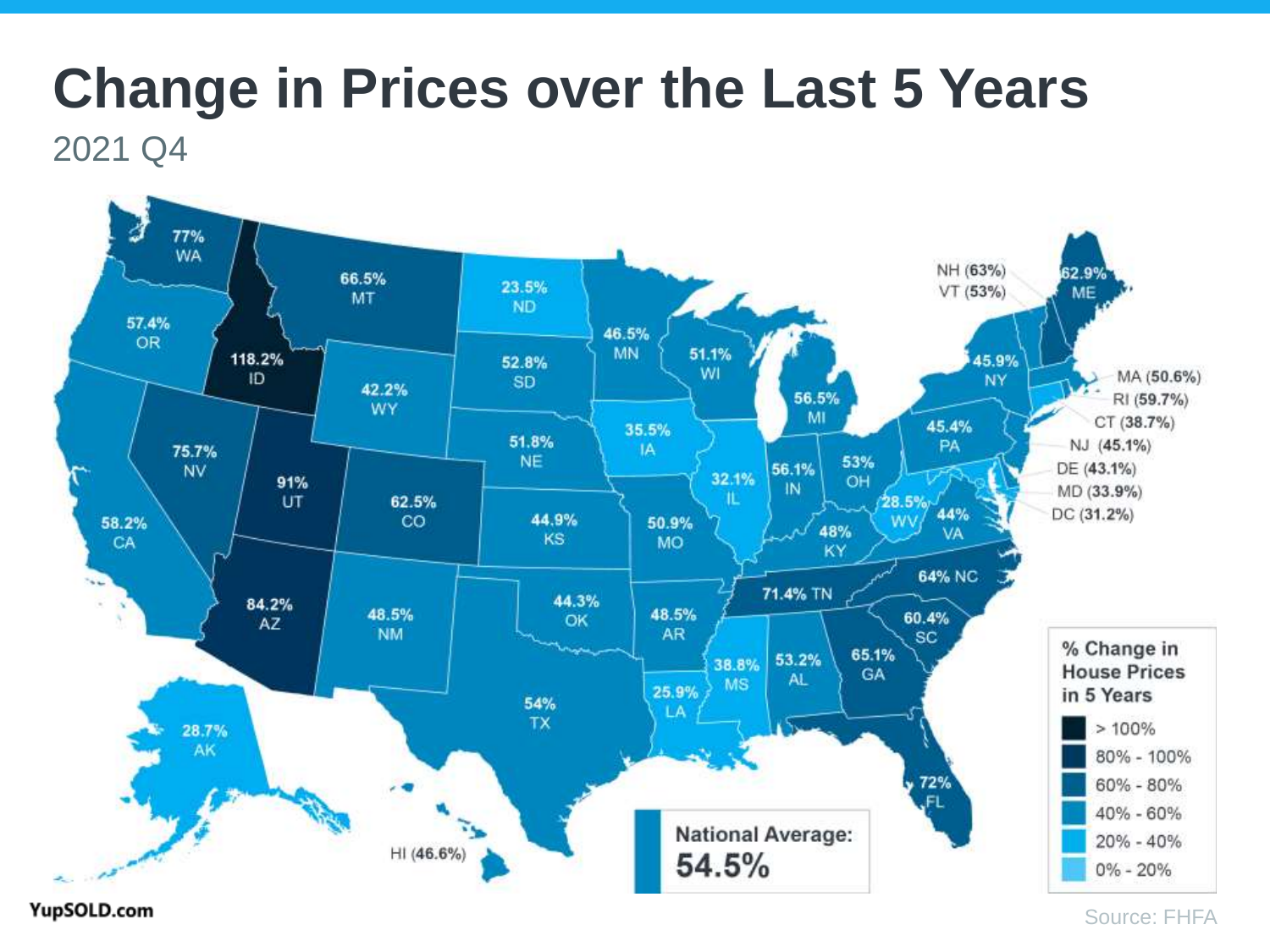# **Change in Prices over the Last 5 Years**

2021 Q4



YupSOLD.com

Source: FHFA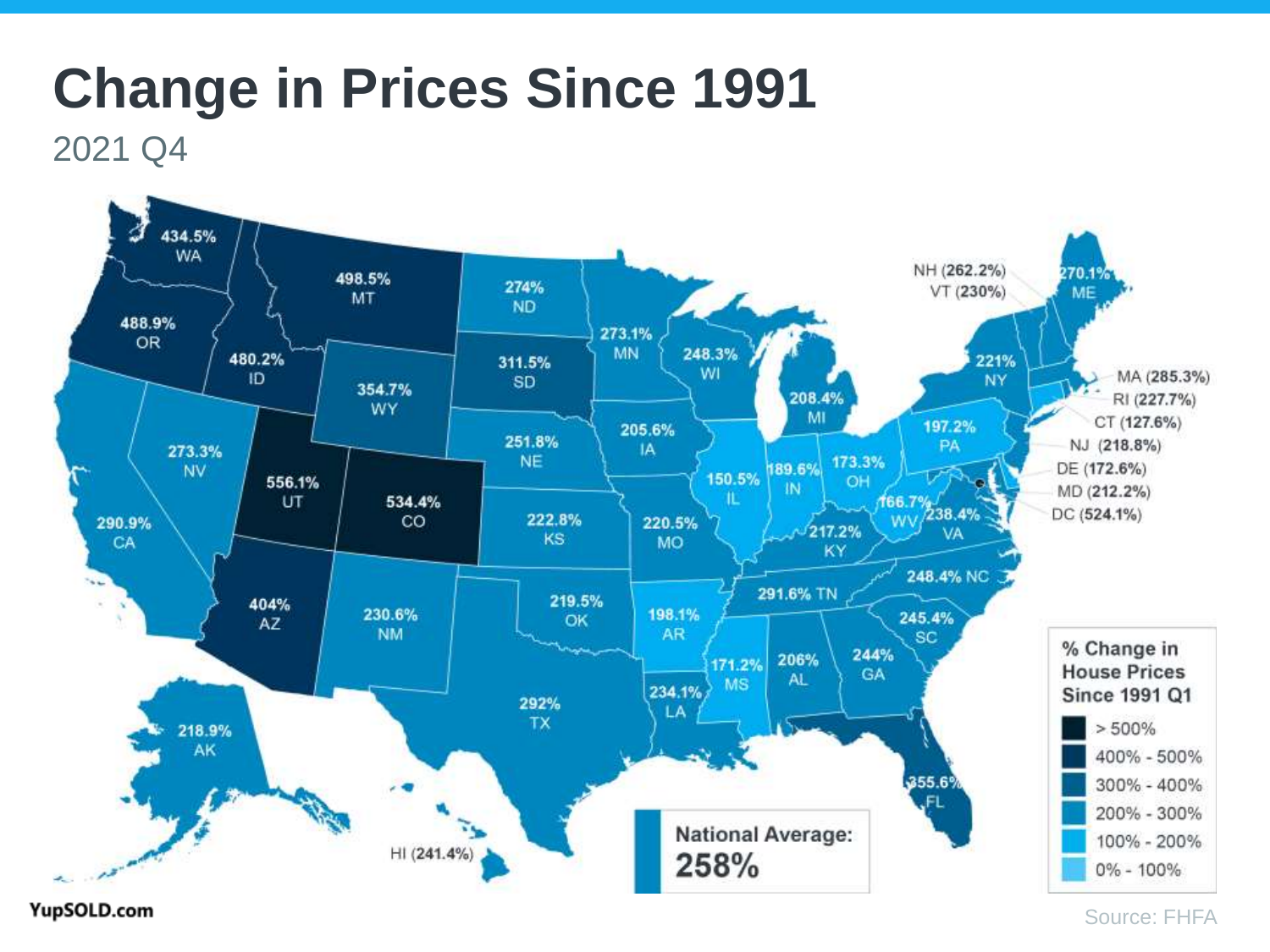### **Change in Prices Since 1991**

2021 Q4



YupSOLD.com

Source: FHFA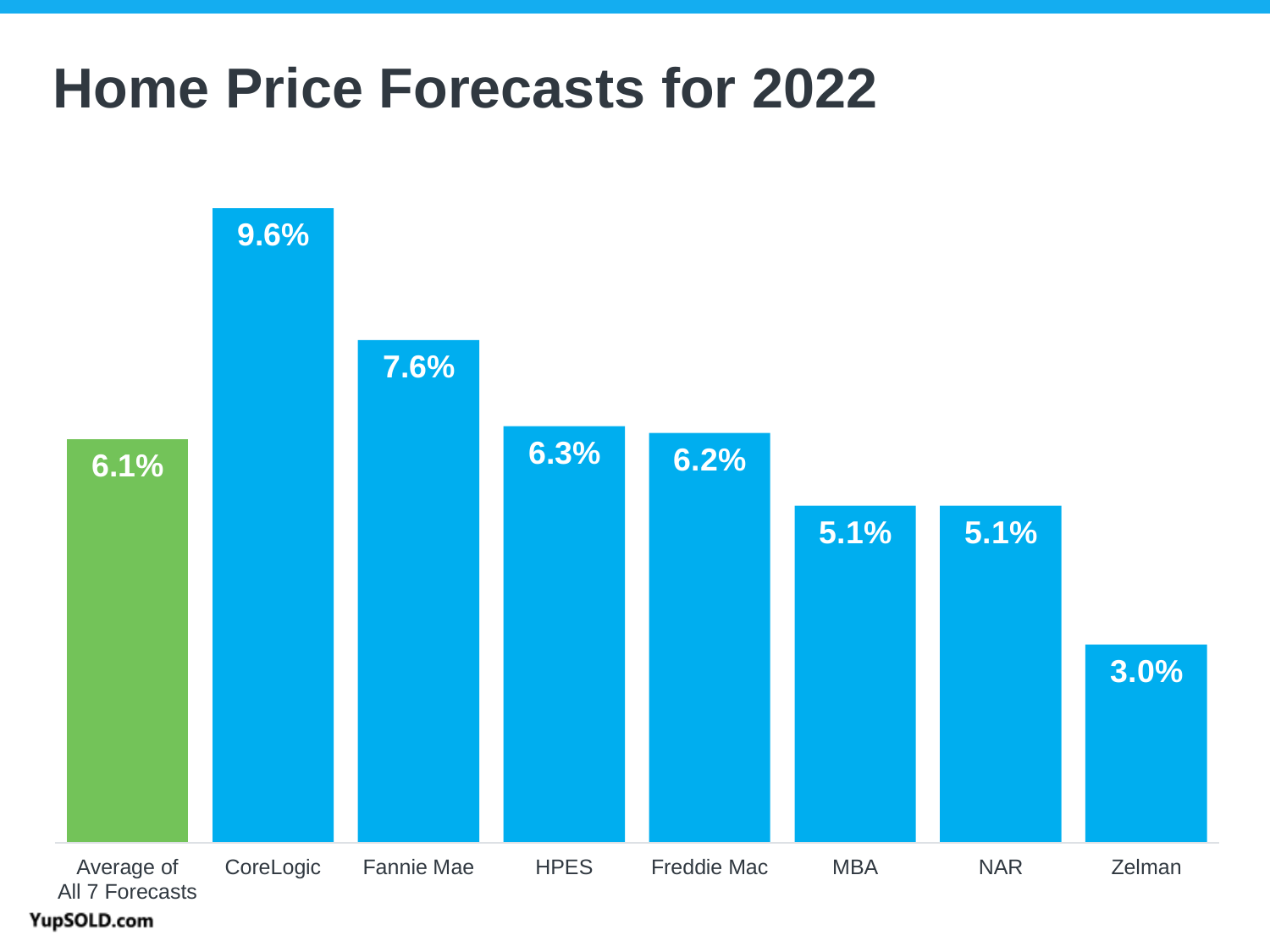### **Home Price Forecasts for 2022**

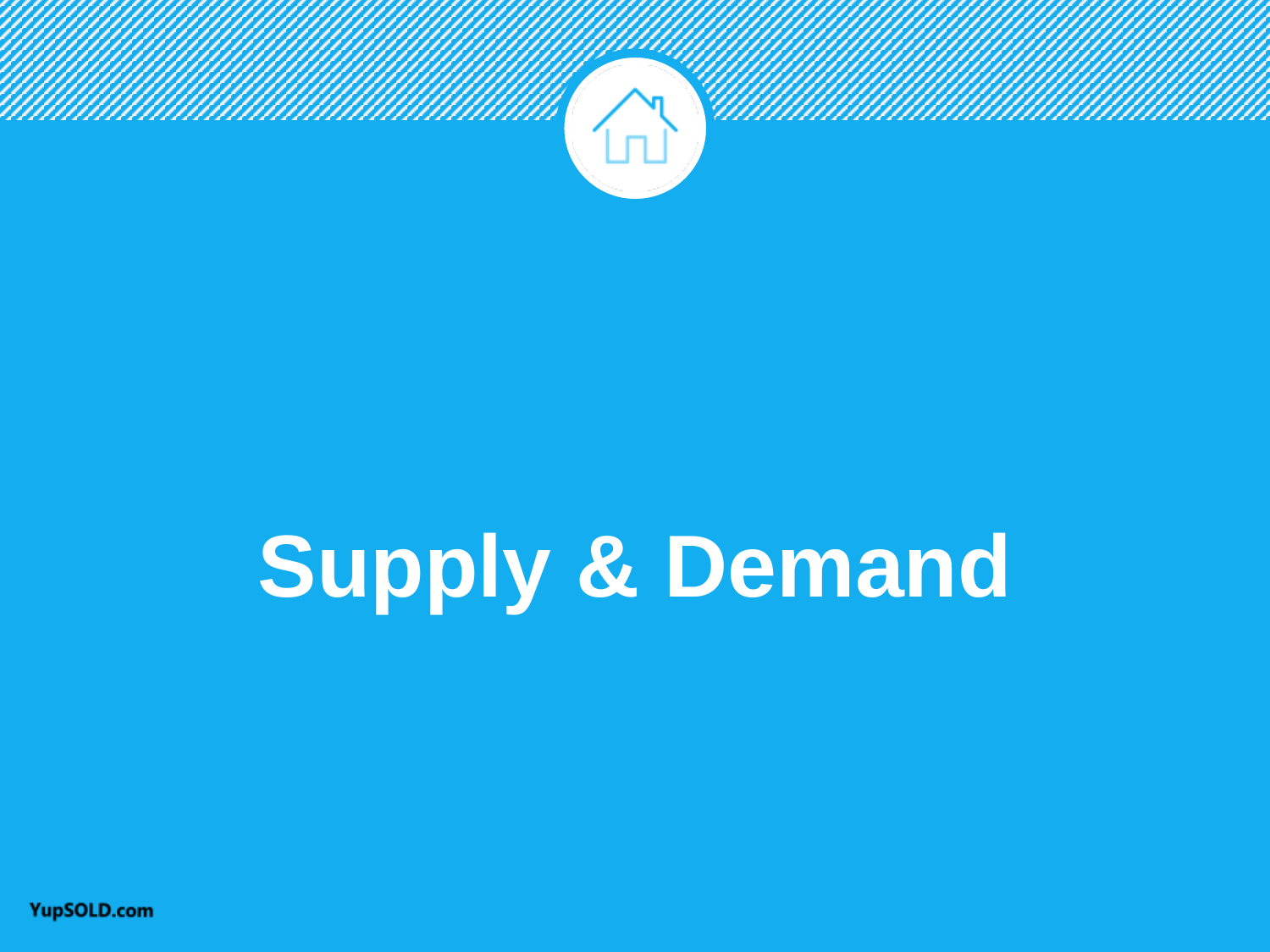

# **Supply & Demand**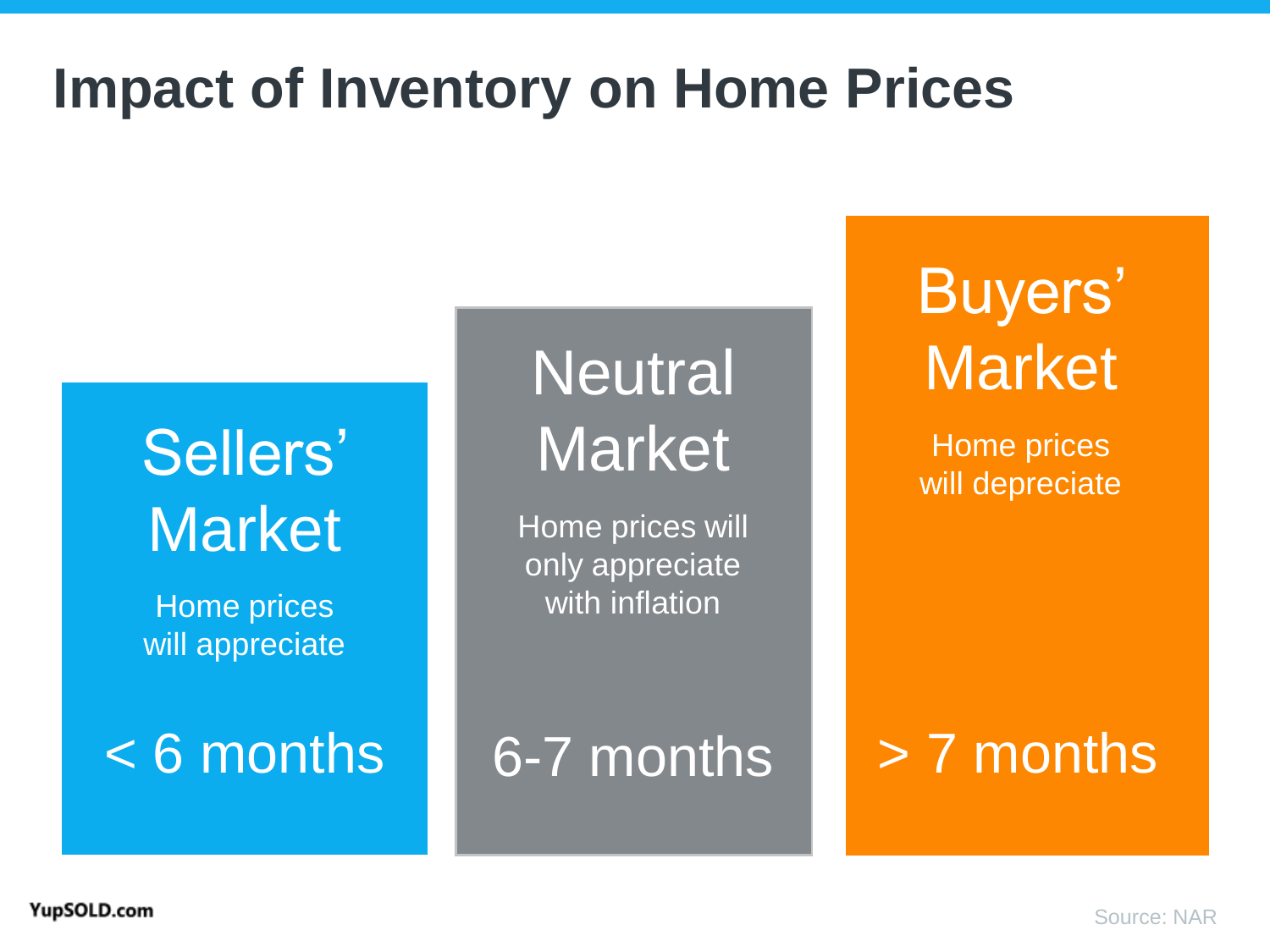### **Impact of Inventory on Home Prices**

## Sellers' **Market**

Home prices will appreciate

# **Neutral Market**

Home prices will only appreciate with inflation

<6 months | 6-7 months | > 7 months

# Buyers' **Market**

Home prices will depreciate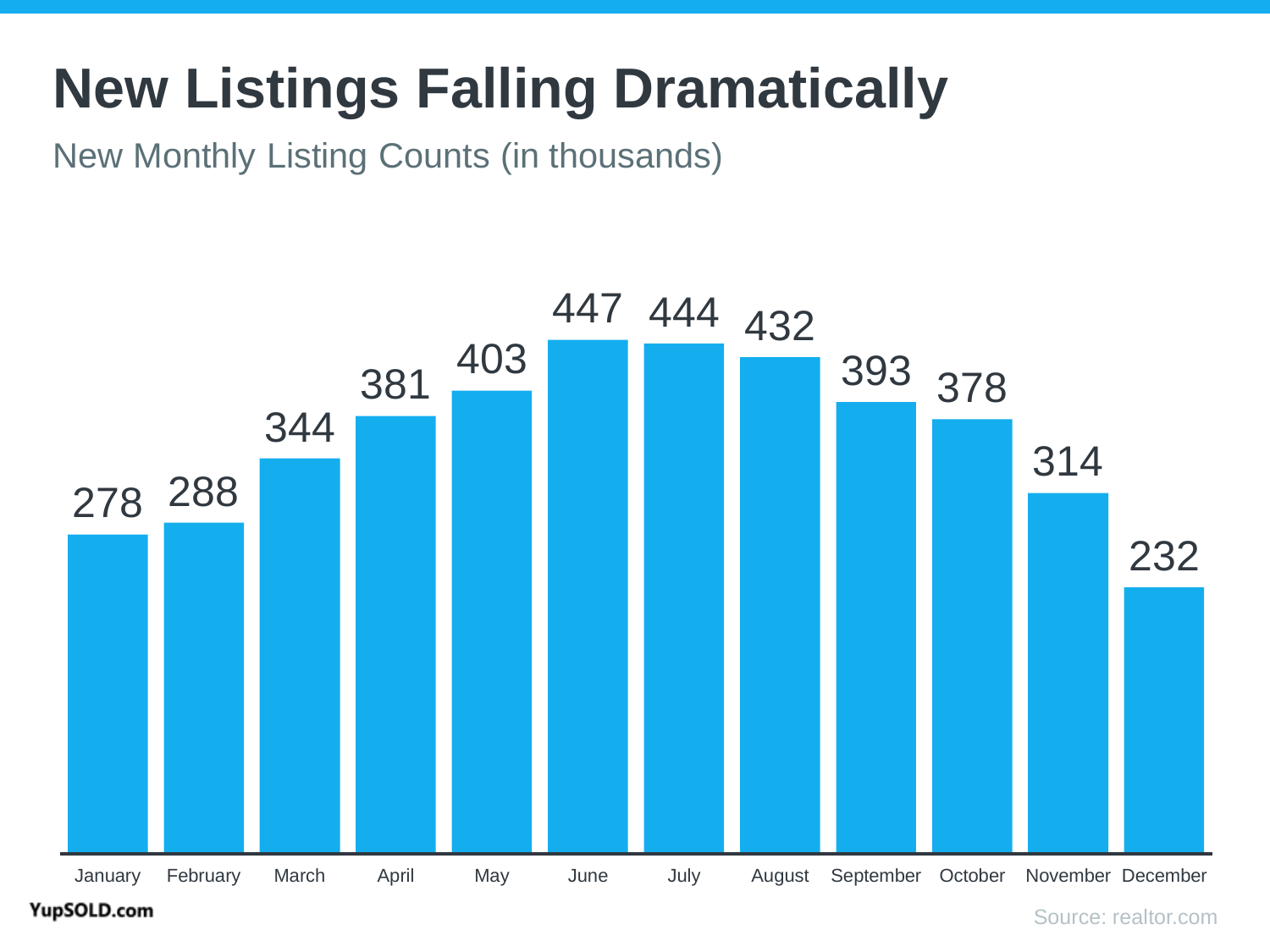## **New Listings Falling Dramatically**

New Monthly Listing Counts (in thousands)

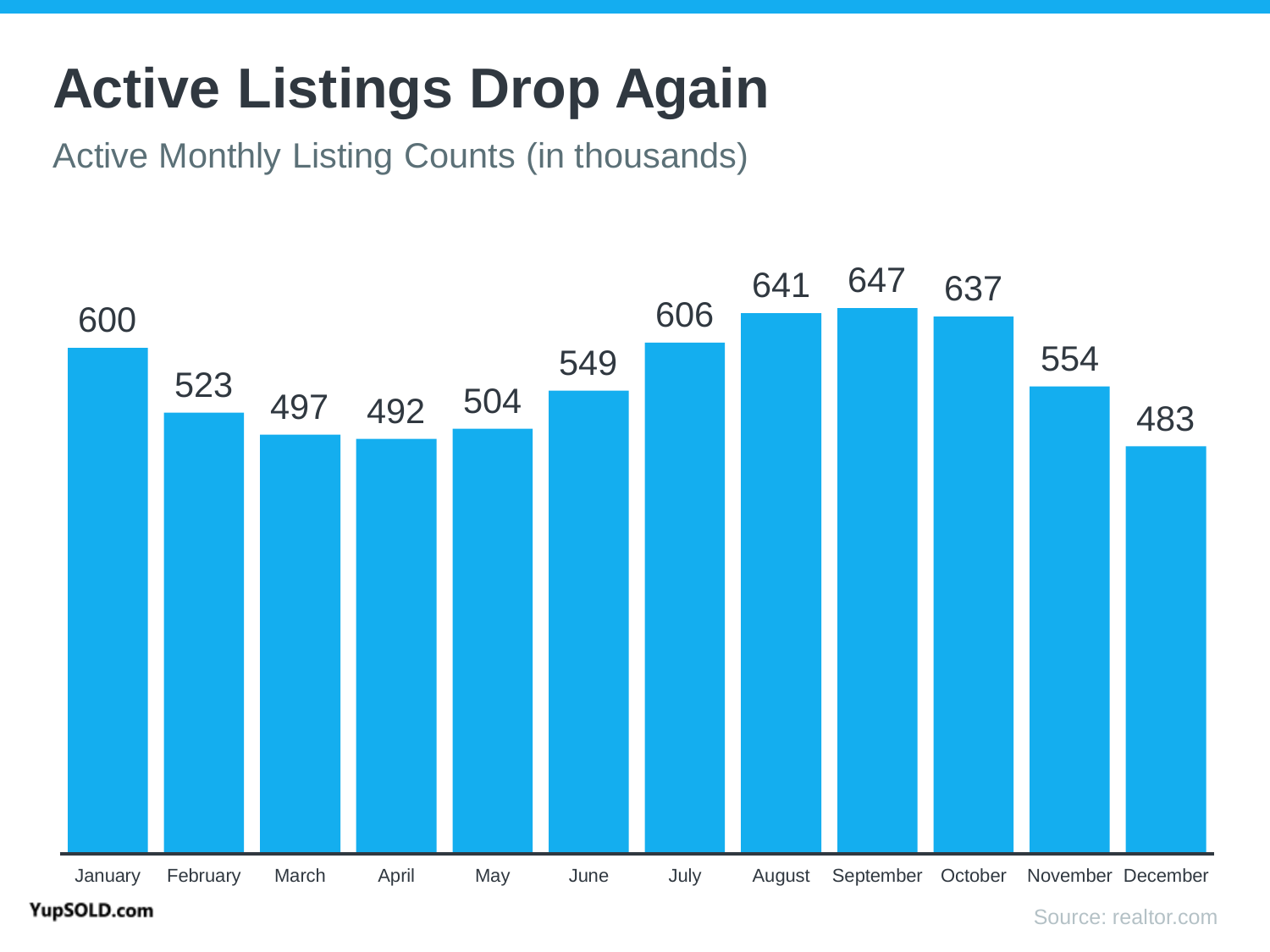## **Active Listings Drop Again**

Active Monthly Listing Counts (in thousands)



#### YupSOLD.com

Source: realtor.com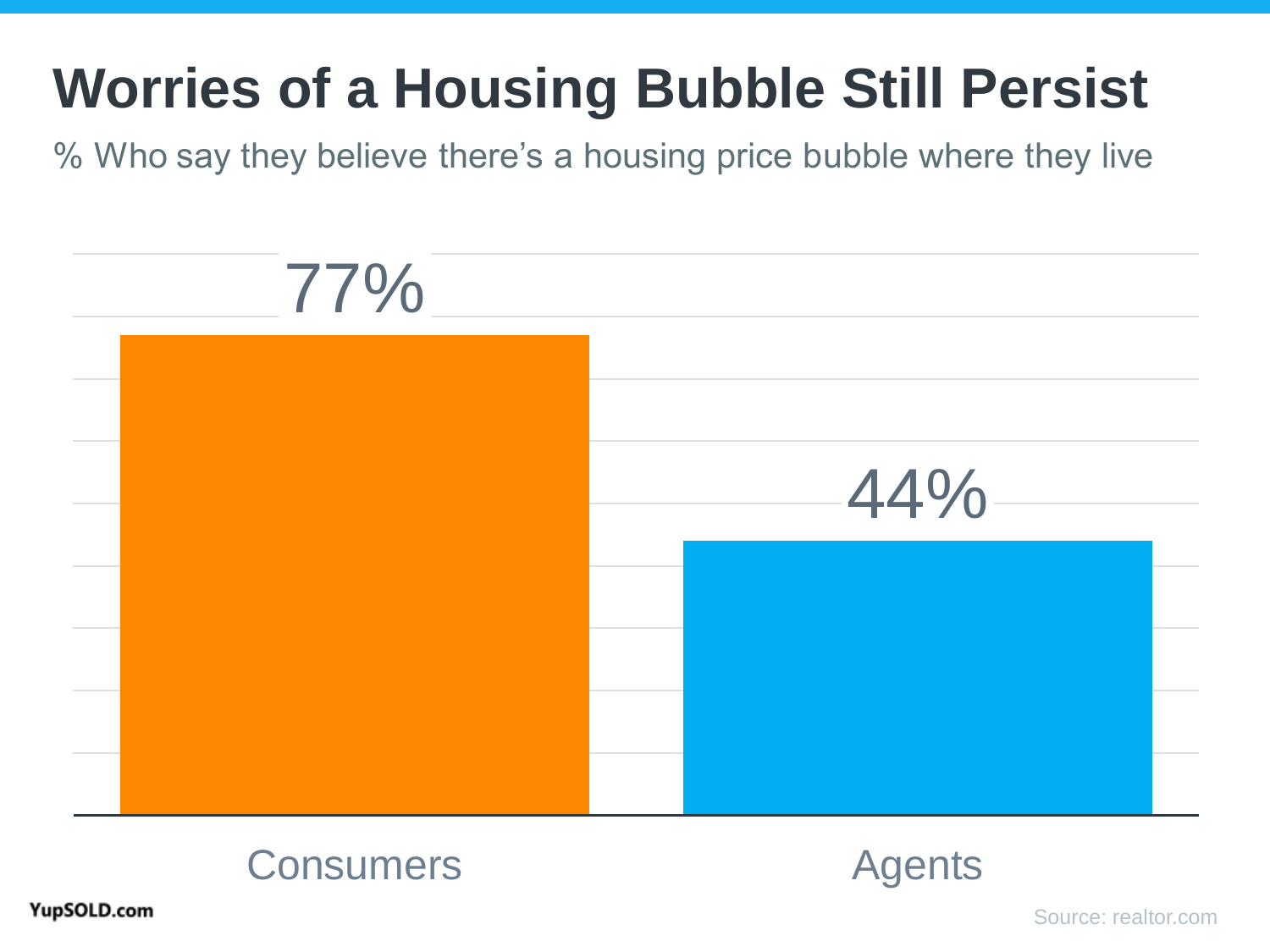## **Worries of a Housing Bubble Still Persist**

% Who say they believe there's a housing price bubble where they live





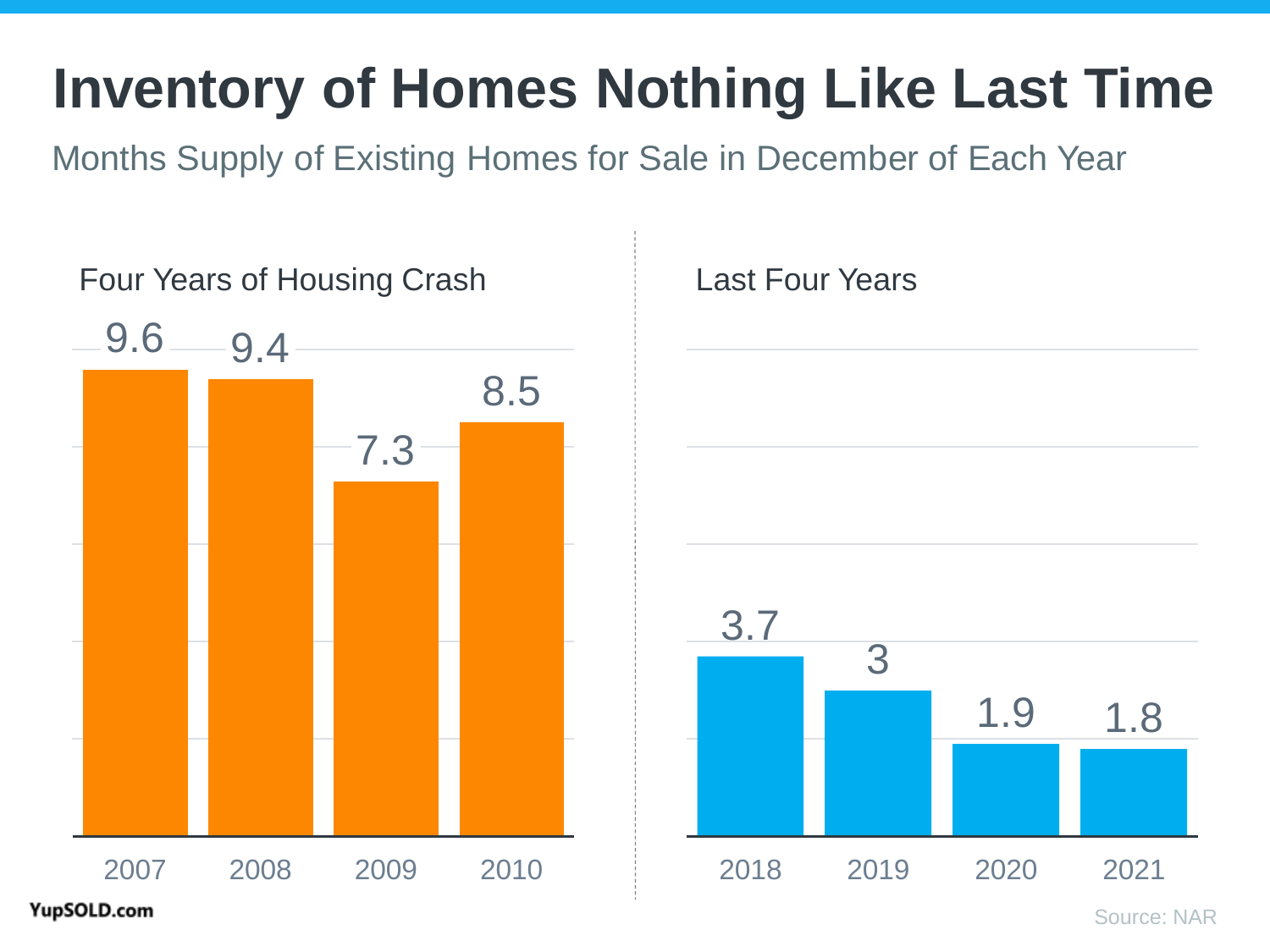## **Inventory of Homes Nothing Like Last Time**

Months Supply of Existing Homes for Sale in December of Each Year



YupSOLD.com

Source: NAR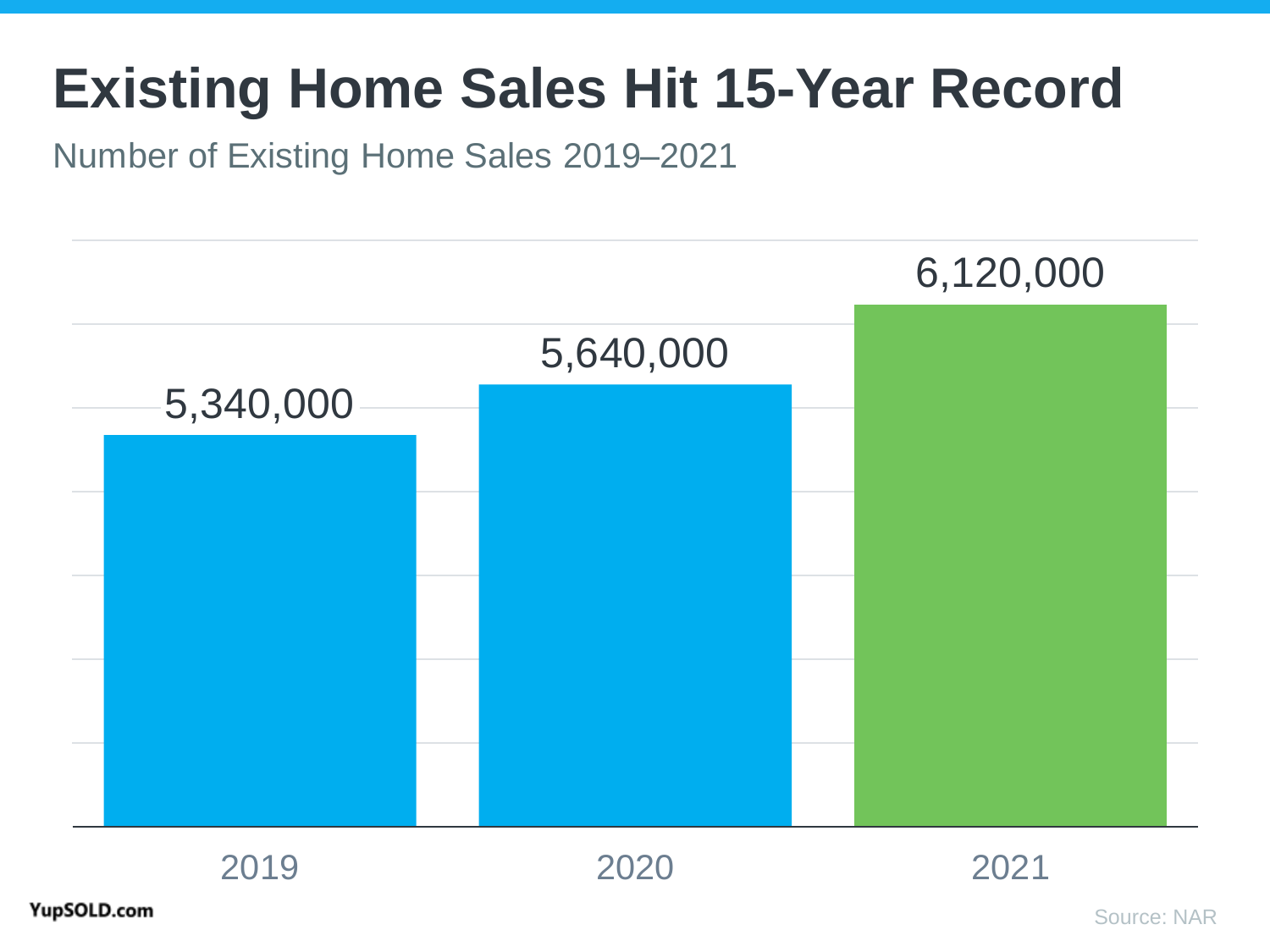### **Existing Home Sales Hit 15-Year Record**

### Number of Existing Home Sales 2019–2021

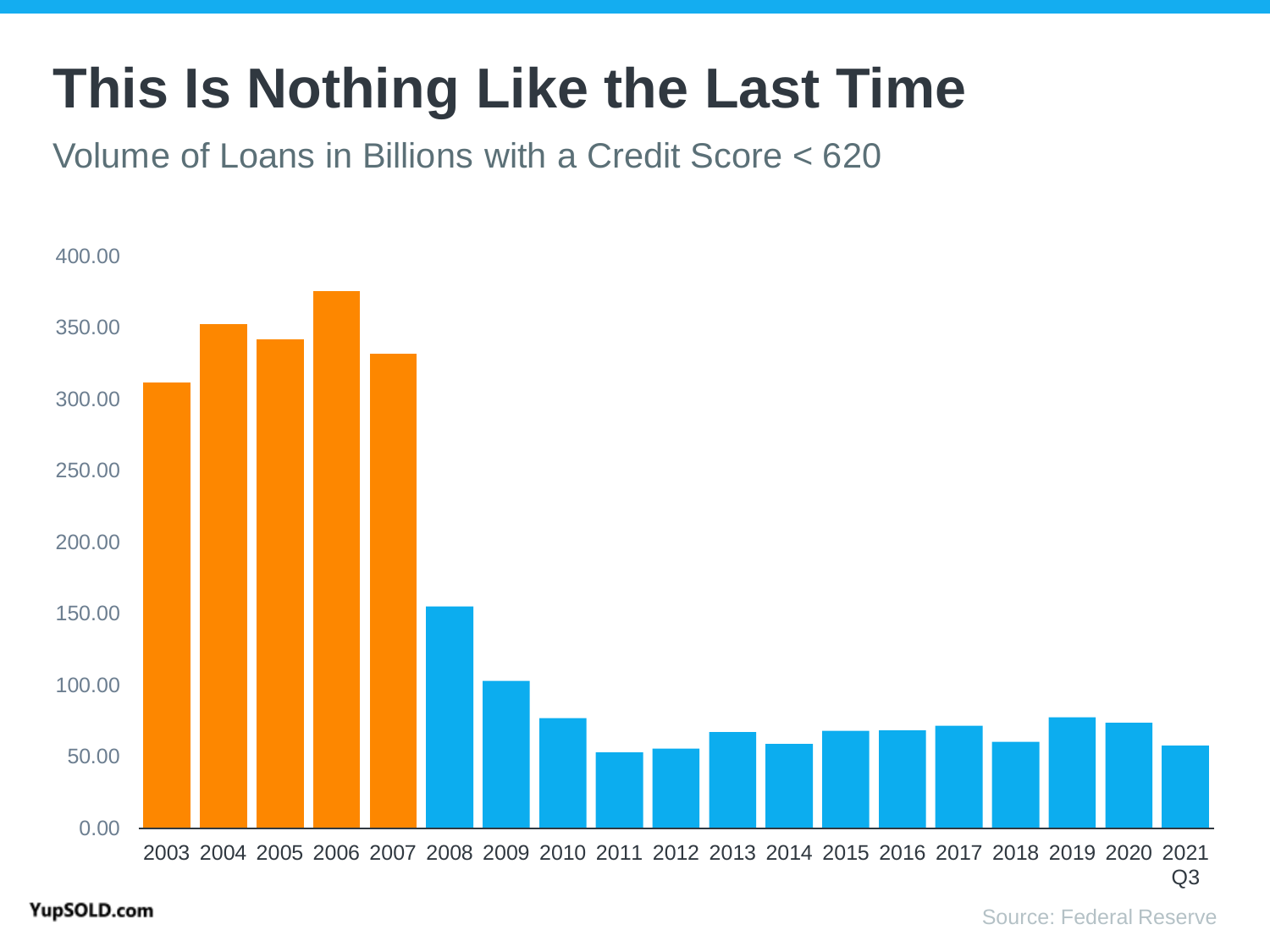## **This Is Nothing Like the Last Time**

Volume of Loans in Billions with a Credit Score < 620

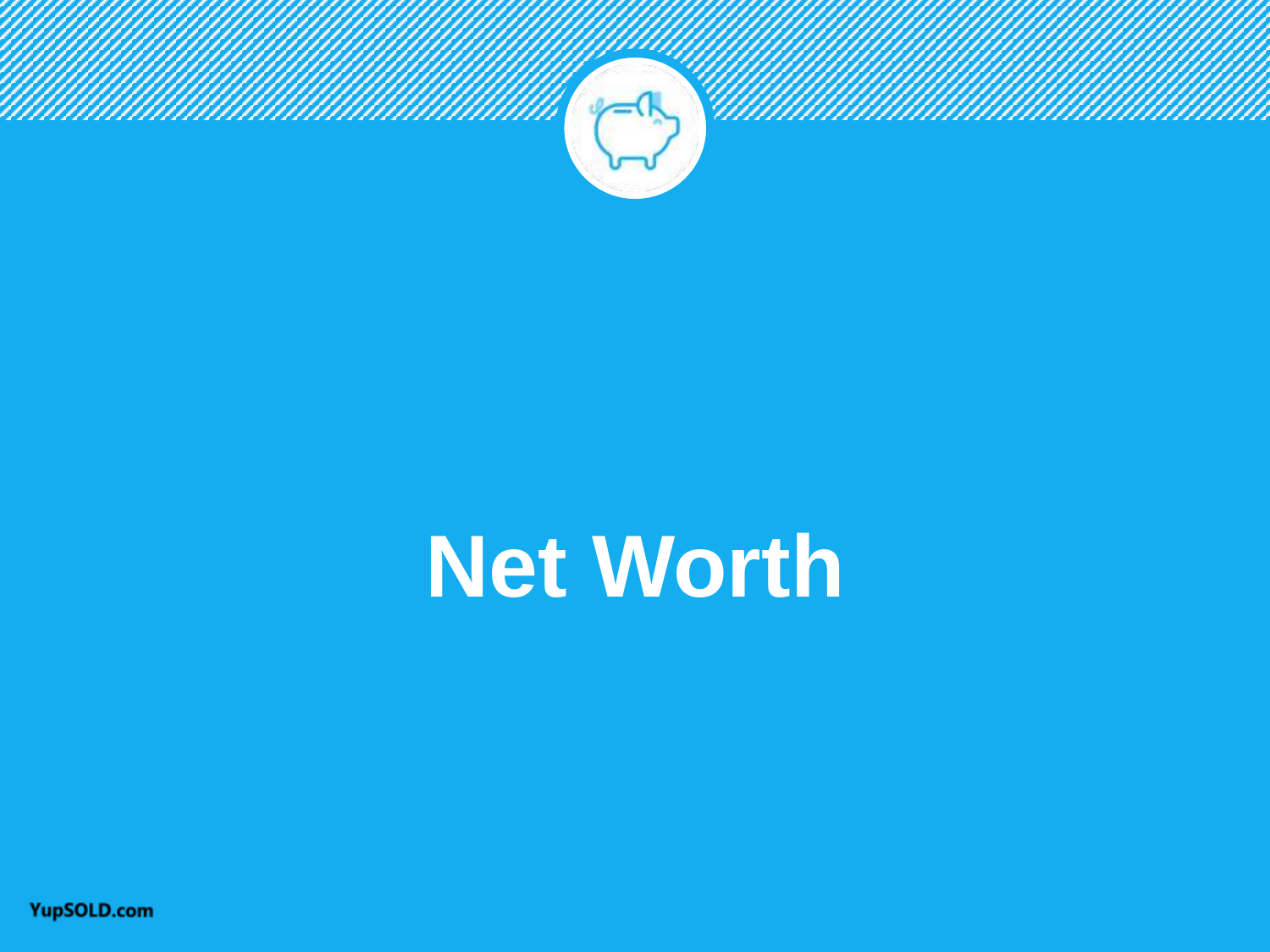

# **Net Worth**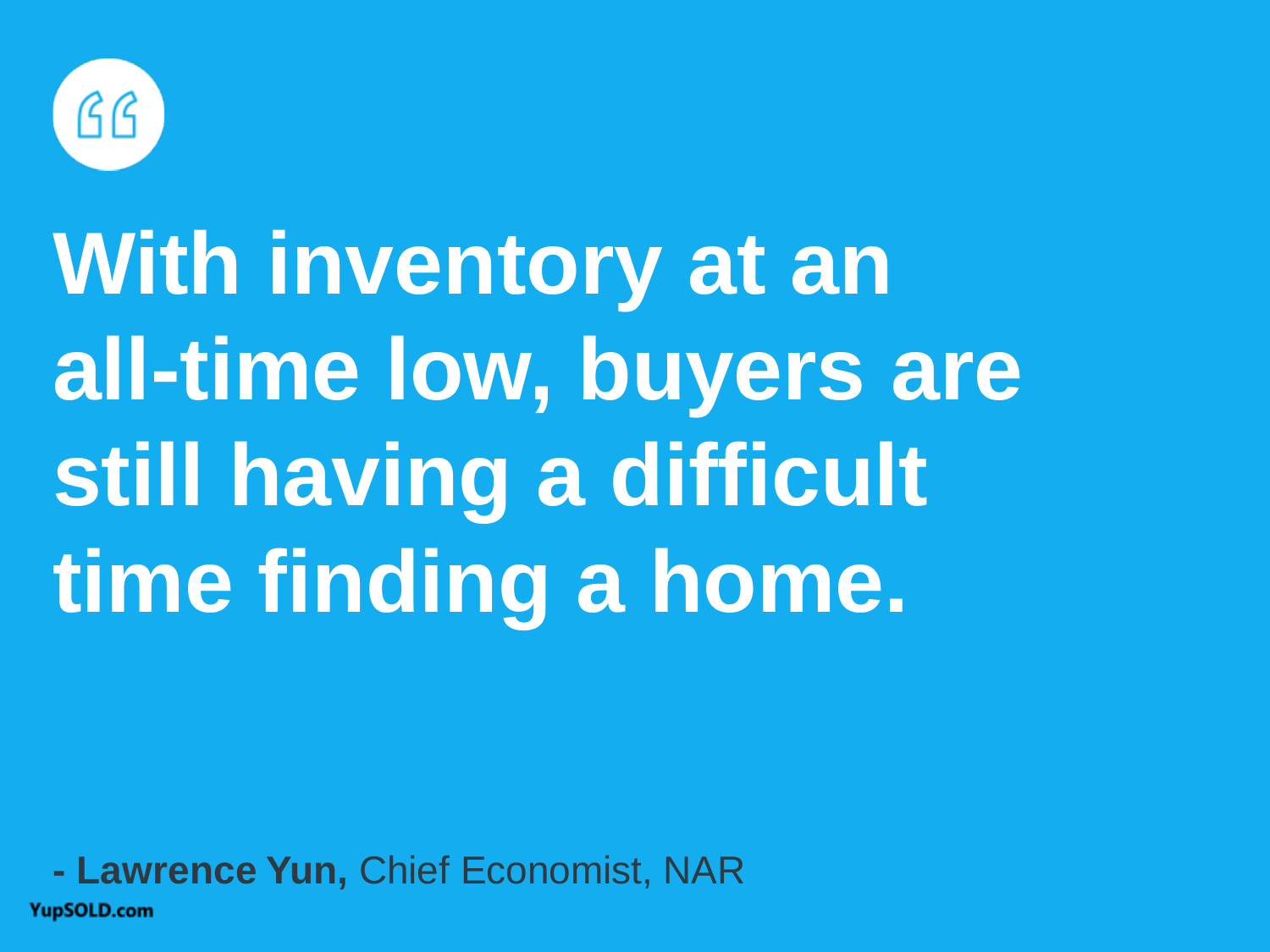

# **With inventory at an all-time low, buyers are still having a difficult time finding a home.**

### **- Lawrence Yun,** Chief Economist, NAR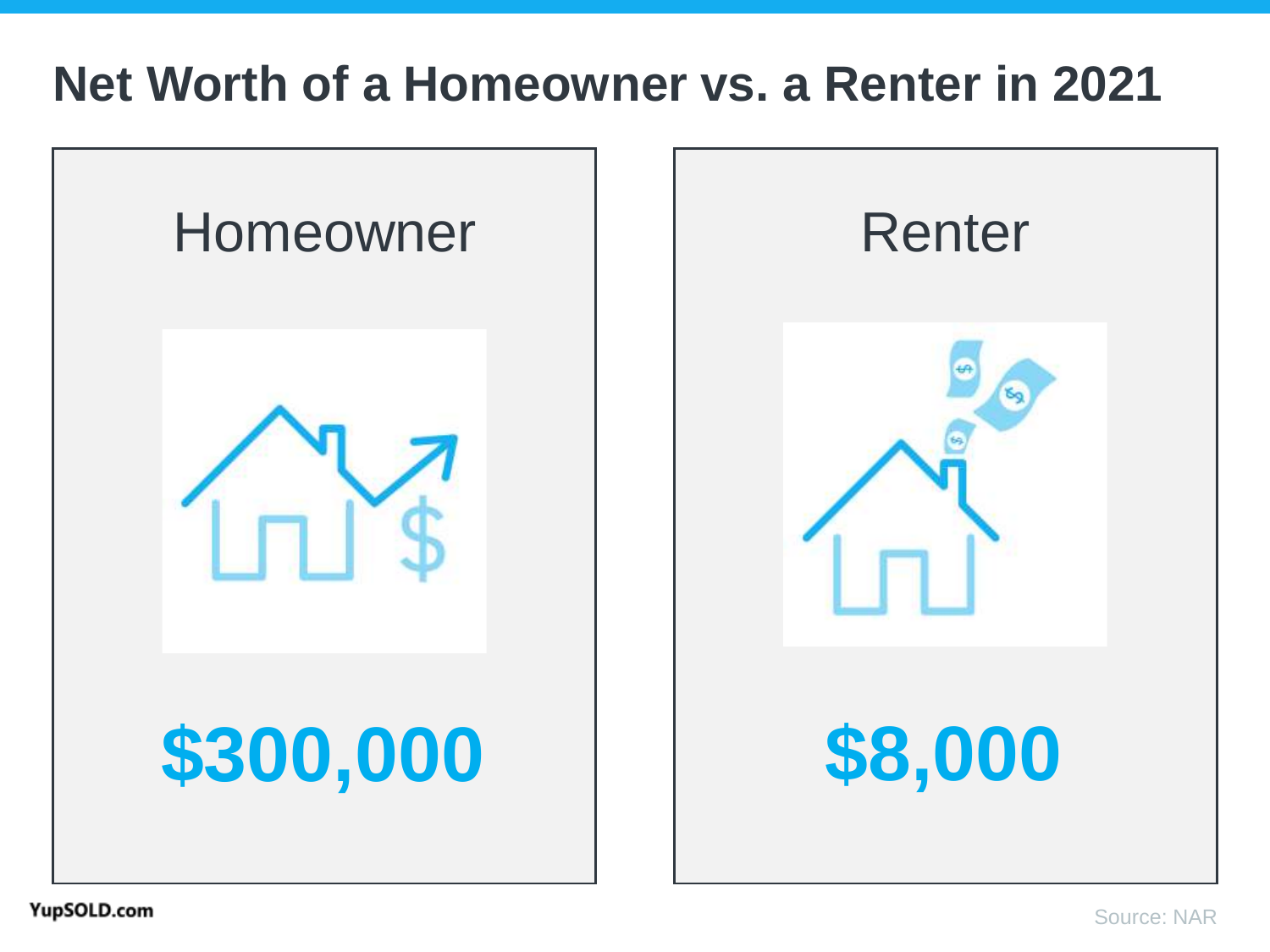### **Net Worth of a Homeowner vs. a Renter in 2021**

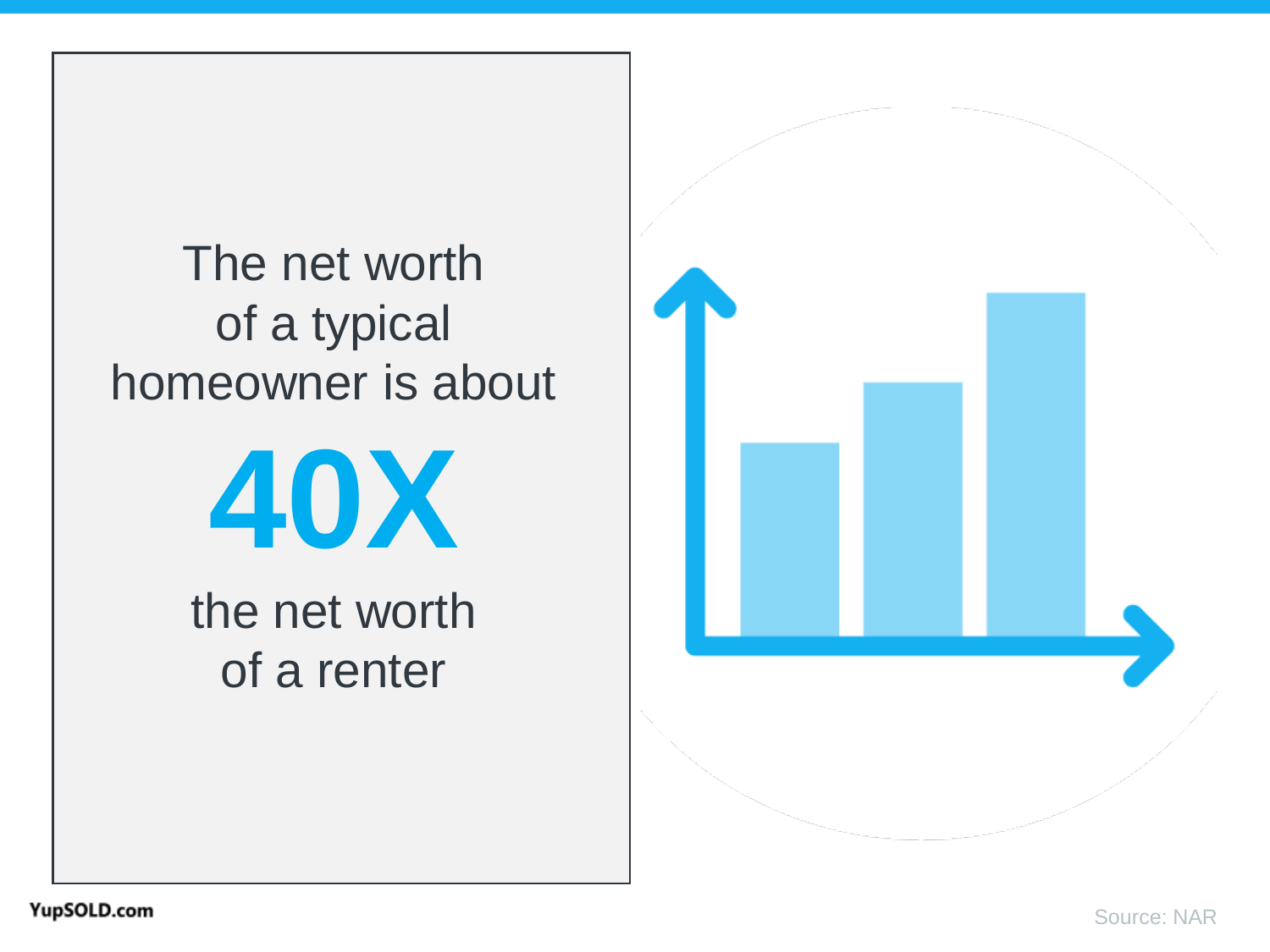### The net worth of a typical homeowner is about



the net worth of a renter

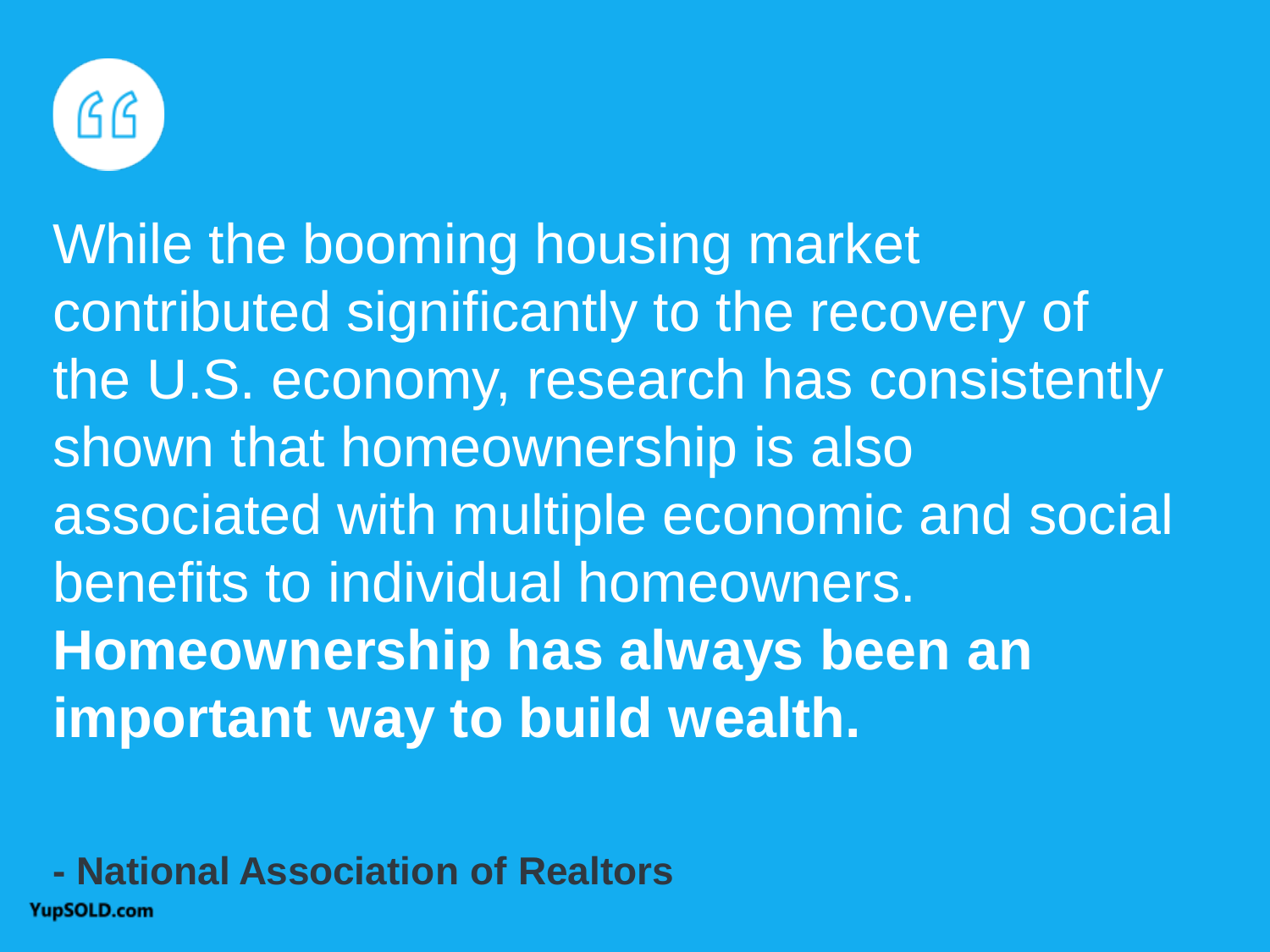

While the booming housing market contributed significantly to the recovery of the U.S. economy, research has consistently shown that homeownership is also associated with multiple economic and social benefits to individual homeowners. **Homeownership has always been an important way to build wealth.**

**- National Association of Realtors**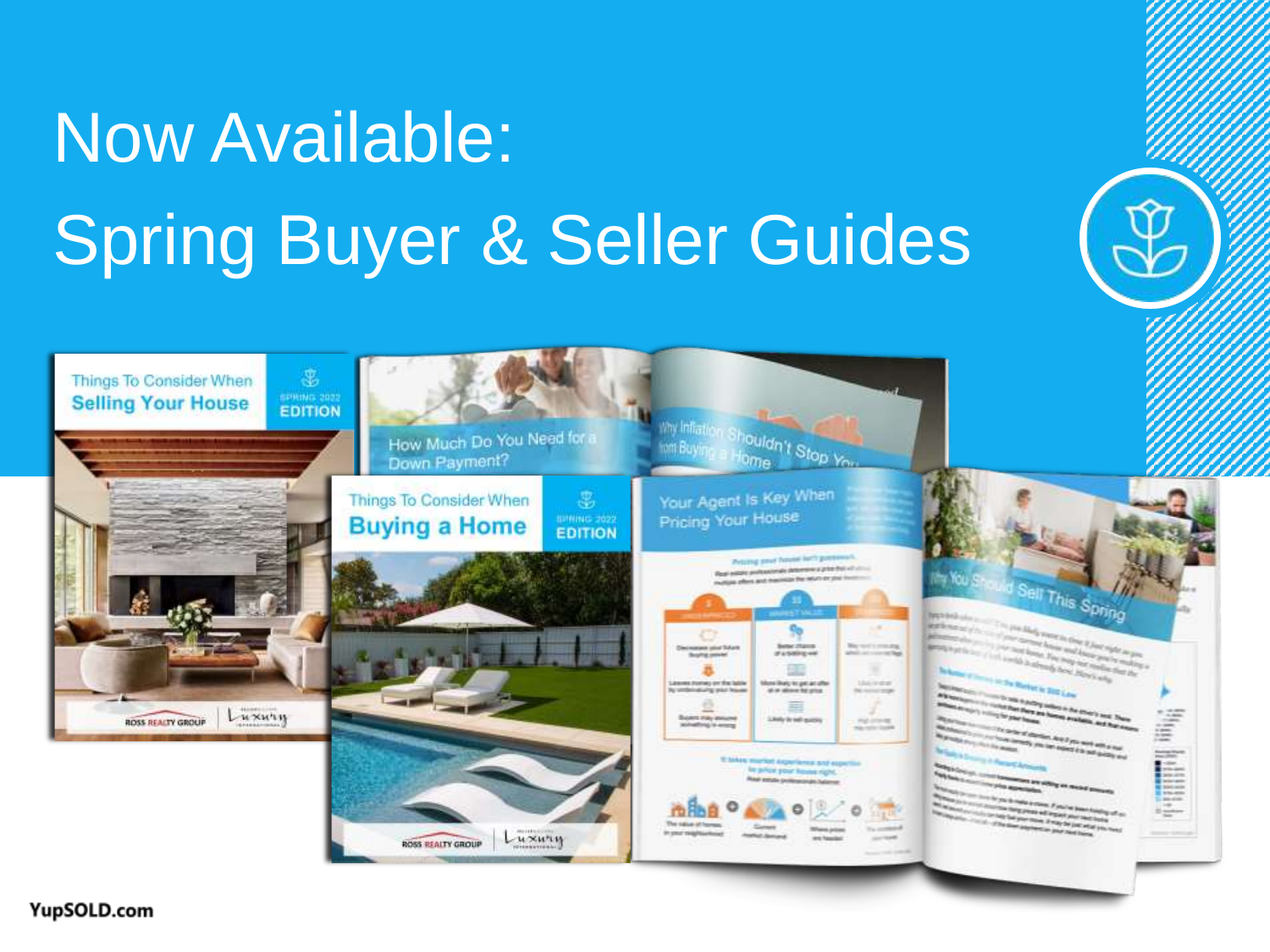# Now Available: Spring Buyer & Seller Guides

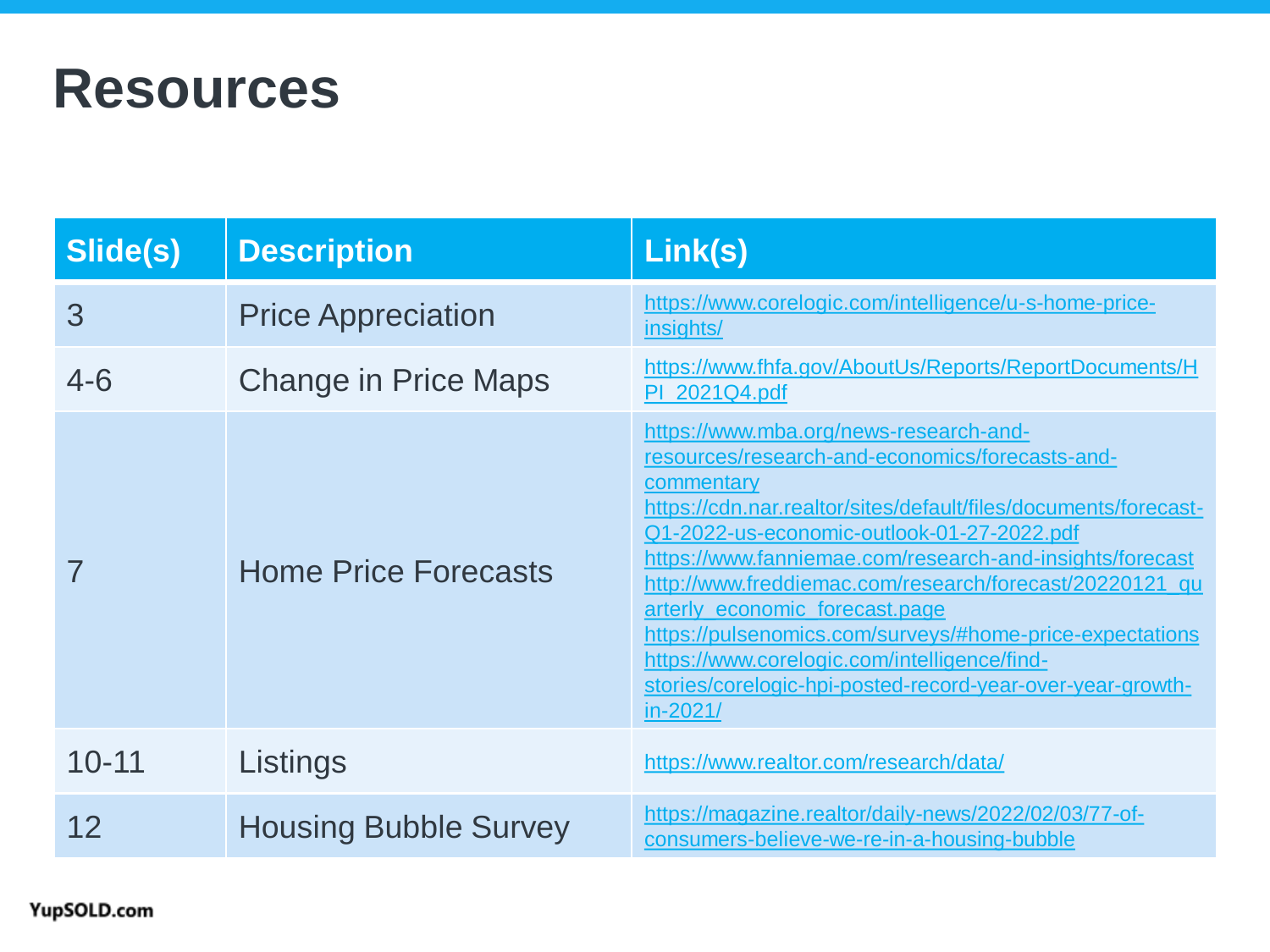### **Resources**

| Slide(s)  | <b>Description</b>           | Link(s)                                                                                                                                                                                                                                                                                                                                                                                                                                                                                                                                                                 |
|-----------|------------------------------|-------------------------------------------------------------------------------------------------------------------------------------------------------------------------------------------------------------------------------------------------------------------------------------------------------------------------------------------------------------------------------------------------------------------------------------------------------------------------------------------------------------------------------------------------------------------------|
| 3         | <b>Price Appreciation</b>    | https://www.corelogic.com/intelligence/u-s-home-price-<br>insights/                                                                                                                                                                                                                                                                                                                                                                                                                                                                                                     |
| $4 - 6$   | <b>Change in Price Maps</b>  | https://www.fhfa.gov/AboutUs/Reports/ReportDocuments/H<br>PI 2021Q4.pdf                                                                                                                                                                                                                                                                                                                                                                                                                                                                                                 |
|           | <b>Home Price Forecasts</b>  | https://www.mba.org/news-research-and-<br>resources/research-and-economics/forecasts-and-<br>commentary<br>https://cdn.nar.realtor/sites/default/files/documents/forecast-<br>Q1-2022-us-economic-outlook-01-27-2022.pdf<br>https://www.fanniemae.com/research-and-insights/forecast<br>http://www.freddiemac.com/research/forecast/20220121_qu<br>arterly_economic_forecast.page<br>https://pulsenomics.com/surveys/#home-price-expectations<br>https://www.corelogic.com/intelligence/find-<br>stories/corelogic-hpi-posted-record-year-over-year-growth-<br>in-2021/ |
| $10 - 11$ | Listings                     | https://www.realtor.com/research/data/                                                                                                                                                                                                                                                                                                                                                                                                                                                                                                                                  |
| 12        | <b>Housing Bubble Survey</b> | https://magazine.realtor/daily-news/2022/02/03/77-of-<br>consumers-believe-we-re-in-a-housing-bubble                                                                                                                                                                                                                                                                                                                                                                                                                                                                    |